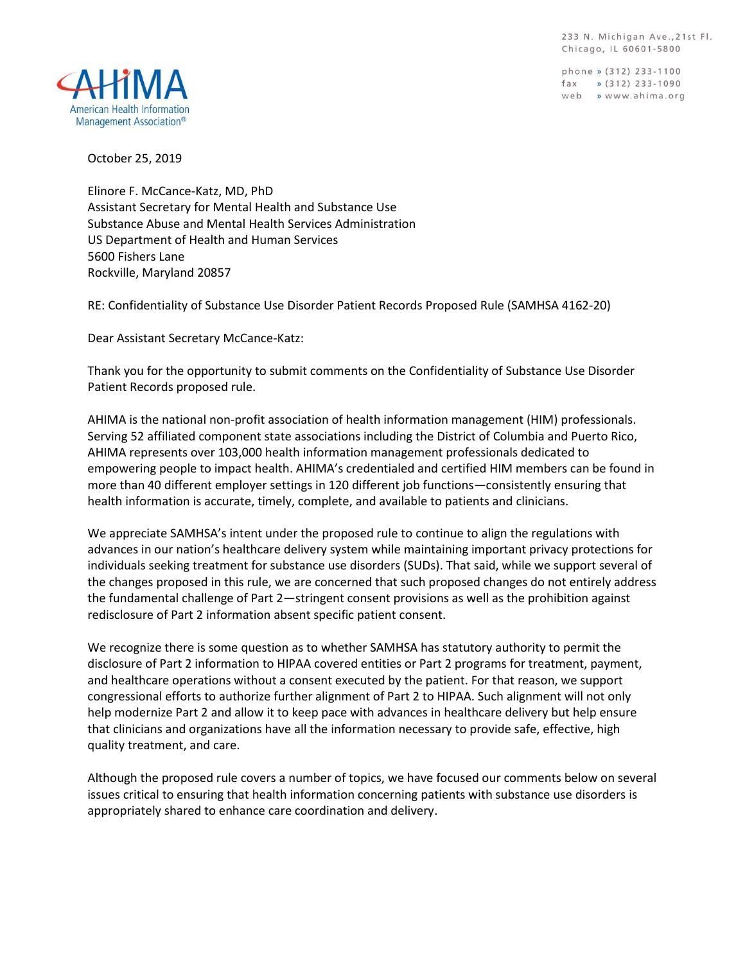233 N. Michigan Ave., 21st Fl. Chicago, IL 60601-5800

phone » (312) 233-1100 fax  $\sqrt{312}$  233-1090 web » www.ahima.org



October 25, 2019

Elinore F. McCance-Katz, MD, PhD Assistant Secretary for Mental Health and Substance Use Substance Abuse and Mental Health Services Administration US Department of Health and Human Services 5600 Fishers Lane Rockville, Maryland 20857

RE: Confidentiality of Substance Use Disorder Patient Records Proposed Rule (SAMHSA 4162-20)

Dear Assistant Secretary McCance-Katz:

Thank you for the opportunity to submit comments on the Confidentiality of Substance Use Disorder Patient Records proposed rule.

AHIMA is the national non-profit association of health information management (HIM) professionals. Serving 52 affiliated component state associations including the District of Columbia and Puerto Rico, AHIMA represents over 103,000 health information management professionals dedicated to empowering people to impact health. AHIMA's credentialed and certified HIM members can be found in more than 40 different employer settings in 120 different job functions—consistently ensuring that health information is accurate, timely, complete, and available to patients and clinicians.

We appreciate SAMHSA's intent under the proposed rule to continue to align the regulations with advances in our nation's healthcare delivery system while maintaining important privacy protections for individuals seeking treatment for substance use disorders (SUDs). That said, while we support several of the changes proposed in this rule, we are concerned that such proposed changes do not entirely address the fundamental challenge of Part 2—stringent consent provisions as well as the prohibition against redisclosure of Part 2 information absent specific patient consent.

We recognize there is some question as to whether SAMHSA has statutory authority to permit the disclosure of Part 2 information to HIPAA covered entities or Part 2 programs for treatment, payment, and healthcare operations without a consent executed by the patient. For that reason, we support congressional efforts to authorize further alignment of Part 2 to HIPAA. Such alignment will not only help modernize Part 2 and allow it to keep pace with advances in healthcare delivery but help ensure that clinicians and organizations have all the information necessary to provide safe, effective, high quality treatment, and care.

Although the proposed rule covers a number of topics, we have focused our comments below on several issues critical to ensuring that health information concerning patients with substance use disorders is appropriately shared to enhance care coordination and delivery.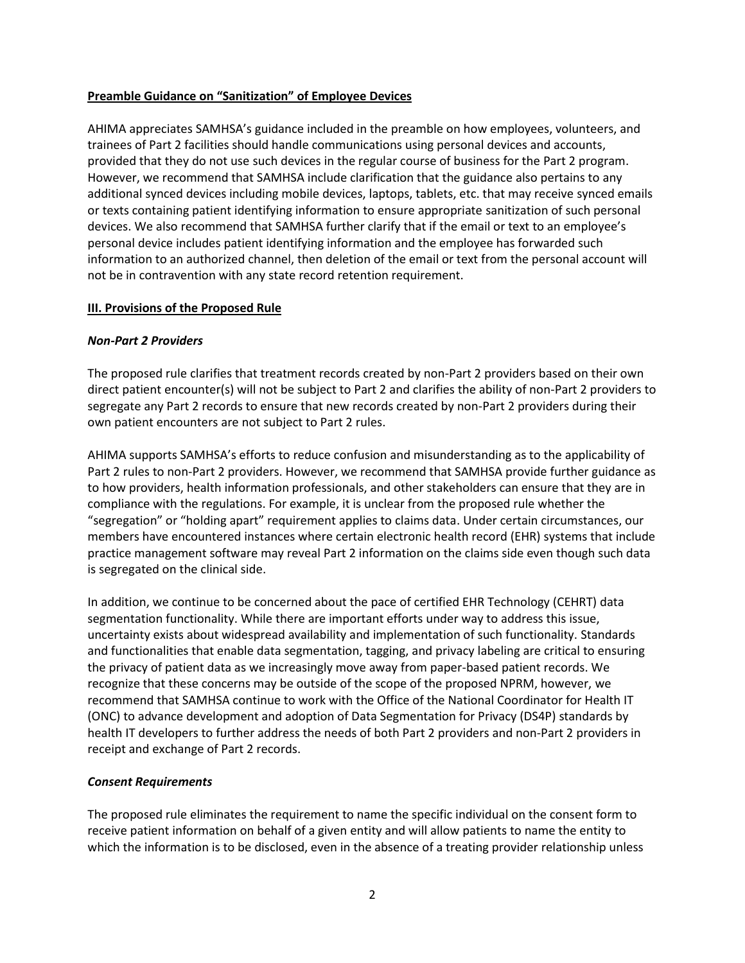### **Preamble Guidance on "Sanitization" of Employee Devices**

AHIMA appreciates SAMHSA's guidance included in the preamble on how employees, volunteers, and trainees of Part 2 facilities should handle communications using personal devices and accounts, provided that they do not use such devices in the regular course of business for the Part 2 program. However, we recommend that SAMHSA include clarification that the guidance also pertains to any additional synced devices including mobile devices, laptops, tablets, etc. that may receive synced emails or texts containing patient identifying information to ensure appropriate sanitization of such personal devices. We also recommend that SAMHSA further clarify that if the email or text to an employee's personal device includes patient identifying information and the employee has forwarded such information to an authorized channel, then deletion of the email or text from the personal account will not be in contravention with any state record retention requirement.

#### **III. Provisions of the Proposed Rule**

#### *Non-Part 2 Providers*

The proposed rule clarifies that treatment records created by non-Part 2 providers based on their own direct patient encounter(s) will not be subject to Part 2 and clarifies the ability of non-Part 2 providers to segregate any Part 2 records to ensure that new records created by non-Part 2 providers during their own patient encounters are not subject to Part 2 rules.

AHIMA supports SAMHSA's efforts to reduce confusion and misunderstanding as to the applicability of Part 2 rules to non-Part 2 providers. However, we recommend that SAMHSA provide further guidance as to how providers, health information professionals, and other stakeholders can ensure that they are in compliance with the regulations. For example, it is unclear from the proposed rule whether the "segregation" or "holding apart" requirement applies to claims data. Under certain circumstances, our members have encountered instances where certain electronic health record (EHR) systems that include practice management software may reveal Part 2 information on the claims side even though such data is segregated on the clinical side.

In addition, we continue to be concerned about the pace of certified EHR Technology (CEHRT) data segmentation functionality. While there are important efforts under way to address this issue, uncertainty exists about widespread availability and implementation of such functionality. Standards and functionalities that enable data segmentation, tagging, and privacy labeling are critical to ensuring the privacy of patient data as we increasingly move away from paper-based patient records. We recognize that these concerns may be outside of the scope of the proposed NPRM, however, we recommend that SAMHSA continue to work with the Office of the National Coordinator for Health IT (ONC) to advance development and adoption of Data Segmentation for Privacy (DS4P) standards by health IT developers to further address the needs of both Part 2 providers and non-Part 2 providers in receipt and exchange of Part 2 records.

### *Consent Requirements*

The proposed rule eliminates the requirement to name the specific individual on the consent form to receive patient information on behalf of a given entity and will allow patients to name the entity to which the information is to be disclosed, even in the absence of a treating provider relationship unless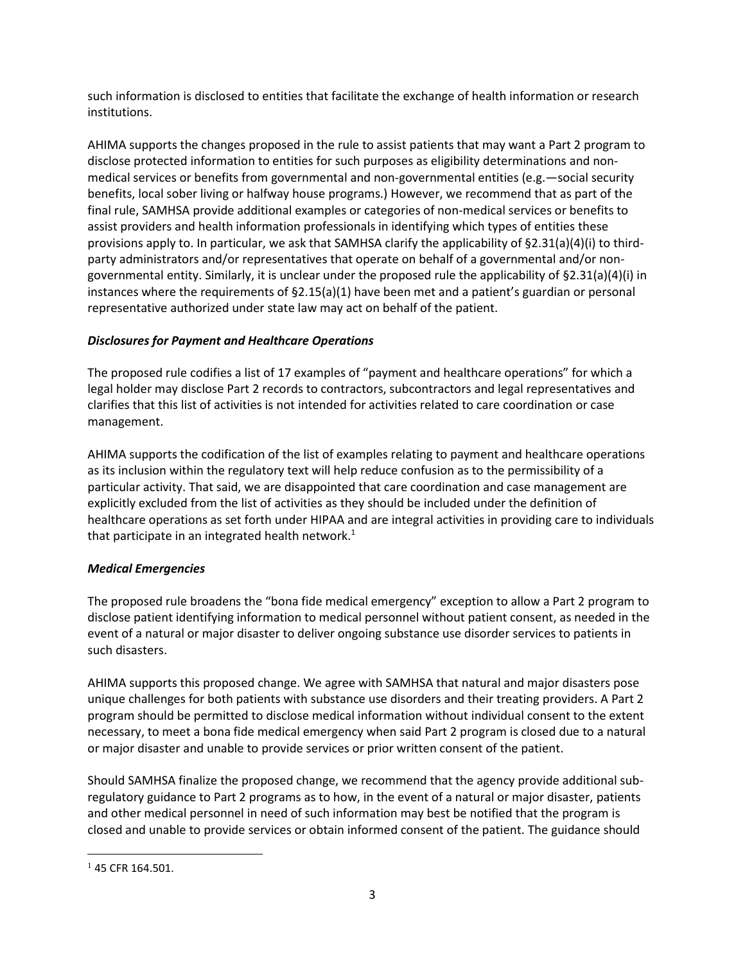such information is disclosed to entities that facilitate the exchange of health information or research institutions.

AHIMA supports the changes proposed in the rule to assist patients that may want a Part 2 program to disclose protected information to entities for such purposes as eligibility determinations and nonmedical services or benefits from governmental and non-governmental entities (e.g.—social security benefits, local sober living or halfway house programs.) However, we recommend that as part of the final rule, SAMHSA provide additional examples or categories of non-medical services or benefits to assist providers and health information professionals in identifying which types of entities these provisions apply to. In particular, we ask that SAMHSA clarify the applicability of §2.31(a)(4)(i) to thirdparty administrators and/or representatives that operate on behalf of a governmental and/or nongovernmental entity. Similarly, it is unclear under the proposed rule the applicability of §2.31(a)(4)(i) in instances where the requirements of §2.15(a)(1) have been met and a patient's guardian or personal representative authorized under state law may act on behalf of the patient.

## *Disclosures for Payment and Healthcare Operations*

The proposed rule codifies a list of 17 examples of "payment and healthcare operations" for which a legal holder may disclose Part 2 records to contractors, subcontractors and legal representatives and clarifies that this list of activities is not intended for activities related to care coordination or case management.

AHIMA supports the codification of the list of examples relating to payment and healthcare operations as its inclusion within the regulatory text will help reduce confusion as to the permissibility of a particular activity. That said, we are disappointed that care coordination and case management are explicitly excluded from the list of activities as they should be included under the definition of healthcare operations as set forth under HIPAA and are integral activities in providing care to individuals that participate in an integrated health network.<sup>1</sup>

# *Medical Emergencies*

The proposed rule broadens the "bona fide medical emergency" exception to allow a Part 2 program to disclose patient identifying information to medical personnel without patient consent, as needed in the event of a natural or major disaster to deliver ongoing substance use disorder services to patients in such disasters.

AHIMA supports this proposed change. We agree with SAMHSA that natural and major disasters pose unique challenges for both patients with substance use disorders and their treating providers. A Part 2 program should be permitted to disclose medical information without individual consent to the extent necessary, to meet a bona fide medical emergency when said Part 2 program is closed due to a natural or major disaster and unable to provide services or prior written consent of the patient.

Should SAMHSA finalize the proposed change, we recommend that the agency provide additional subregulatory guidance to Part 2 programs as to how, in the event of a natural or major disaster, patients and other medical personnel in need of such information may best be notified that the program is closed and unable to provide services or obtain informed consent of the patient. The guidance should

 $\overline{a}$ 

 $145$  CFR 164.501.